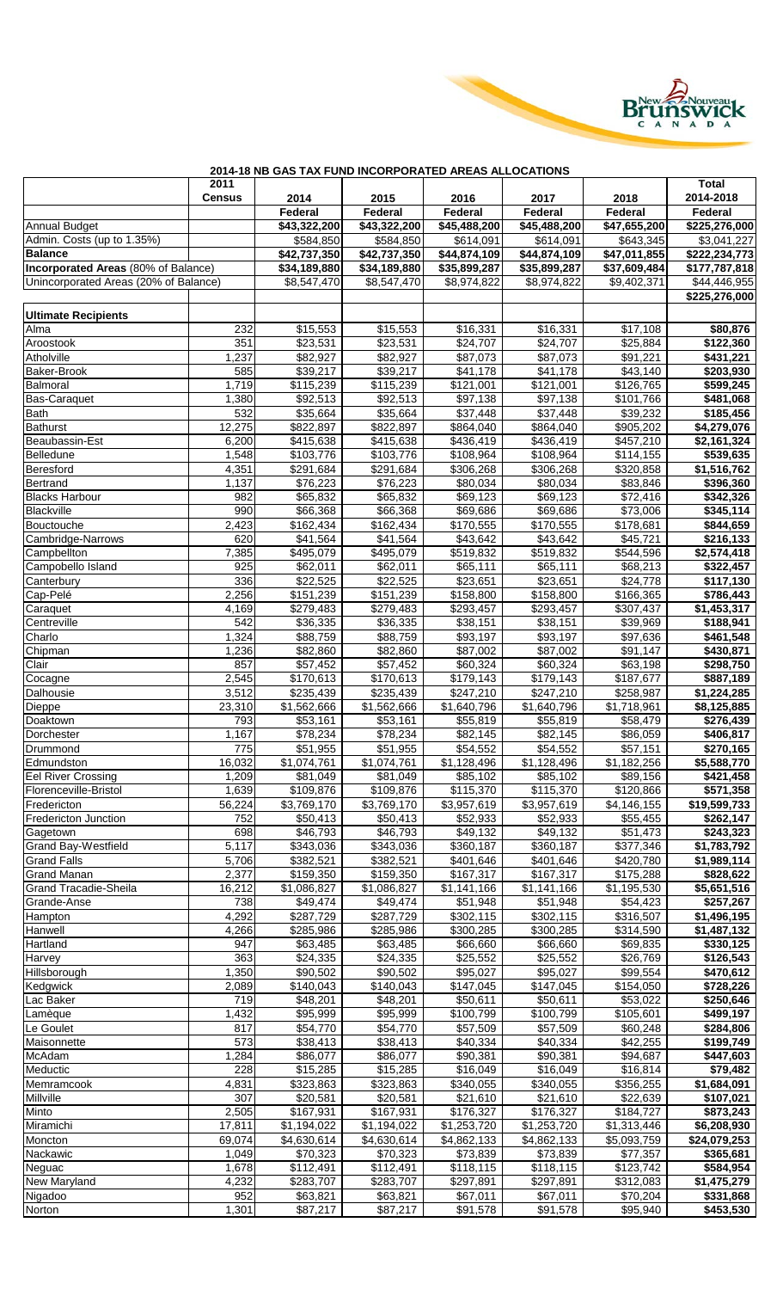

|      | 2014-18 NB GAS TAX FUND INCORPORATED AREAS ALLOCATIONS |  |  |  |  |  |  |  |  |
|------|--------------------------------------------------------|--|--|--|--|--|--|--|--|
| 2011 |                                                        |  |  |  |  |  |  |  |  |
|      |                                                        |  |  |  |  |  |  |  |  |

|                                                                                     | 2011           | ייטוויוסטאנדיוס ווערונט וויסטות שווט וואזו שהש |                             |                             |                              |                             | <b>Total</b>                  |
|-------------------------------------------------------------------------------------|----------------|------------------------------------------------|-----------------------------|-----------------------------|------------------------------|-----------------------------|-------------------------------|
|                                                                                     | <b>Census</b>  | 2014                                           | 2015                        | 2016                        | 2017                         | 2018                        | 2014-2018                     |
|                                                                                     |                | Federal                                        | Federal                     | Federal                     | Federal                      | Federal                     | Federal                       |
| <b>Annual Budget</b>                                                                |                | \$43,322,200                                   | \$43,322,200                | \$45,488,200                | \$45,488,200                 | \$47,655,200                | \$225,276,000                 |
| Admin. Costs (up to 1.35%)                                                          |                | \$584,850                                      | \$584,850                   | \$614,091                   | \$614,091                    | \$643,345                   | \$3,041,227                   |
| <b>Balance</b>                                                                      |                | \$42,737,350                                   | \$42,737,350                | $\overline{$44,874,109}$    | $\overline{$44,874,109}$     | \$47,011,855                | \$222,234,773                 |
| <b>Incorporated Areas</b> (80% of Balance)<br>Unincorporated Areas (20% of Balance) |                | \$34,189,880<br>\$8,547,470                    | \$34,189,880<br>\$8,547,470 | \$35,899,287<br>\$8,974,822 | \$35,899,287<br>\$8,974,822  | \$37,609,484<br>\$9,402,371 | \$177,787,818<br>\$44,446,955 |
|                                                                                     |                |                                                |                             |                             |                              |                             | \$225,276,000                 |
|                                                                                     |                |                                                |                             |                             |                              |                             |                               |
| <b>Ultimate Recipients</b><br>Alma                                                  |                |                                                |                             |                             |                              | \$17,108                    |                               |
| Aroostook                                                                           | 232<br>351     | \$15,553<br>\$23,531                           | \$15,553<br>\$23,531        | \$16,331<br>\$24,707        | \$16,331<br>$\sqrt{$24,707}$ | \$25,884                    | \$80,876<br>\$122,360         |
| Atholville                                                                          | 1,237          | \$82,927                                       | \$82,927                    | \$87,073                    | \$87,073                     | \$91,221                    | \$431,221                     |
| Baker-Brook                                                                         | 585            | \$39,217                                       | \$39,217                    | \$41,178                    | \$41,178                     | \$43,140                    | \$203,930                     |
| Balmoral                                                                            | 1,719          | \$115,239                                      | \$115,239                   | \$121,001                   | \$121,001                    | \$126,765                   | \$599,245                     |
| <b>Bas-Caraquet</b>                                                                 | 1,380          | \$92,513                                       | \$92,513                    | \$97,138                    | \$97,138                     | \$101,766                   | \$481,068                     |
| <b>Bath</b>                                                                         | 532            | \$35,664                                       | \$35,664                    | \$37,448                    | \$37,448                     | \$39,232                    | \$185,456                     |
| <b>Bathurst</b>                                                                     | 12,275         | \$822,897                                      | \$822,897                   | \$864,040                   | \$864,040                    | \$905,202                   | \$4,279,076                   |
| Beaubassin-Est                                                                      | 6,200          | \$415,638                                      | \$415,638                   | \$436,419                   | \$436,419                    | \$457,210                   | \$2,161,324                   |
| Belledune                                                                           | 1,548          | \$103,776                                      | \$103,776                   | \$108,964                   | \$108,964                    | \$114,155                   | \$539,635                     |
| Beresford                                                                           | 4,351          | \$291,684                                      | \$291,684                   | \$306,268                   | \$306,268                    | \$320,858                   | \$1,516,762                   |
| Bertrand                                                                            | 1,137<br>982   | \$76,223                                       | \$76,223<br>\$65,832        | \$80,034<br>\$69,123        | \$80,034<br>\$69,123         | \$83,846<br>\$72,416        | \$396,360                     |
| <b>Blacks Harbour</b><br>Blackville                                                 | 990            | \$65,832<br>\$66,368                           | \$66,368                    | \$69,686                    | \$69,686                     | \$73,006                    | \$342,326<br>\$345,114        |
| Bouctouche                                                                          | 2,423          | \$162,434                                      | \$162,434                   | \$170,555                   | \$170,555                    | \$178,681                   | \$844,659                     |
| Cambridge-Narrows                                                                   | 620            | \$41,564                                       | \$41,564                    | \$43,642                    | \$43,642                     | \$45,721                    | \$216,133                     |
| Campbellton                                                                         | 7,385          | \$495,079                                      | \$495,079                   | \$519,832                   | \$519,832                    | \$544,596                   | \$2,574,418                   |
| Campobello Island                                                                   | 925            | \$62,011                                       | \$62,011                    | \$65,111                    | \$65,111                     | \$68,213                    | \$322,457                     |
| Canterbury                                                                          | 336            | \$22,525                                       | \$22,525                    | \$23,651                    | \$23,651                     | \$24,778                    | \$117,130                     |
| Cap-Pelé                                                                            | 2,256          | \$151,239                                      | \$151,239                   | \$158,800                   | \$158,800                    | \$166,365                   | \$786,443                     |
| Caraquet                                                                            | 4,169          | \$279,483                                      | $\overline{$279,483}$       | \$293,457                   | \$293,457                    | \$307,437                   | $\overline{1,453,317}$        |
| Centreville                                                                         | 542            | \$36,335                                       | \$36,335                    | \$38,151                    | \$38,151                     | \$39,969                    | \$188,941                     |
| Charlo                                                                              | 1,324          | \$88,759                                       | \$88,759                    | \$93,197                    | \$93,197                     | \$97,636                    | \$461,548                     |
| Chipman                                                                             | 1,236          | \$82,860                                       | \$82,860                    | \$87,002                    | \$87,002                     | \$91,147                    | \$430,871                     |
| Clair                                                                               | 857<br>2,545   | \$57,452<br>\$170,613                          | \$57,452<br>\$170,613       | \$60,324<br>\$179,143       | \$60,324<br>\$179,143        | \$63,198<br>\$187,677       | \$298,750<br>\$887,189        |
| Cocagne<br>Dalhousie                                                                | 3,512          | \$235,439                                      | \$235,439                   | $\overline{$247,210}$       | \$247,210                    | \$258,987                   | \$1,224,285                   |
| Dieppe                                                                              | 23,310         | \$1,562,666                                    | \$1,562,666                 | \$1,640,796                 | \$1,640,796                  | \$1,718,961                 | \$8,125,885                   |
| Doaktown                                                                            | 793            | \$53,161                                       | \$53,161                    | \$55,819                    | \$55,819                     | \$58,479                    | \$276,439                     |
| Dorchester                                                                          | 1,167          | \$78,234                                       | \$78,234                    | \$82,145                    | \$82,145                     | \$86,059                    | \$406,817                     |
| Drummond                                                                            | 775            | \$51,955                                       | \$51,955                    | \$54,552                    | \$54,552                     | \$57,151                    | \$270,165                     |
| Edmundston                                                                          | 16,032         | \$1,074,761                                    | \$1,074,761                 | \$1,128,496                 | \$1,128,496                  | \$1,182,256                 | \$5,588,770                   |
| <b>Eel River Crossing</b>                                                           | 1,209          | \$81,049                                       | \$81,049                    | \$85,102                    | \$85,102                     | \$89,156                    | \$421,458                     |
| Florenceville-Bristol                                                               | 1,639          | \$109,876                                      | \$109,876                   | \$115,370                   | \$115,370                    | \$120,866                   | \$571,358                     |
| Fredericton                                                                         | 56,224         | \$3,769,170                                    | \$3,769,170                 | \$3,957,619                 | \$3,957,619                  | \$4,146,155                 | \$19,599,733                  |
| <b>Fredericton Junction</b>                                                         | 752<br>698     | \$50,413<br>\$46,793                           | \$50,413<br>\$46,793        | \$52,933                    | \$52,933                     | \$55,455                    | \$262,147                     |
| Gagetown<br>Grand Bay-Westfield                                                     | 5,117          | \$343,036                                      | \$343,036                   | \$49,132<br>\$360,187       | \$49,132<br>\$360,187        | \$51,473<br>\$377,346       | \$243,323<br>\$1,783,792      |
| <b>Grand Falls</b>                                                                  | 5,706          | \$382,521                                      | \$382,521                   | \$401,646                   | \$401,646                    | \$420,780                   | \$1,989,114                   |
| <b>Grand Manan</b>                                                                  | 2,377          | \$159,350                                      | \$159,350                   | \$167,317                   | \$167,317                    | \$175,288                   | \$828,622                     |
| <b>Grand Tracadie-Sheila</b>                                                        | 16,212         | \$1,086,827                                    | \$1,086,827                 | \$1,141,166                 | \$1,141,166                  | \$1,195,530                 | \$5,651,516                   |
| Grande-Anse                                                                         | 738            | \$49,474                                       | \$49,474                    | \$51,948                    | \$51,948                     | \$54,423                    | \$257,267                     |
| Hampton                                                                             | 4,292          | \$287,729                                      | \$287,729                   | \$302,115                   | \$302,115                    | \$316,507                   | \$1,496,195                   |
| Hanwell                                                                             | 4,266          | \$285,986                                      | \$285,986                   | $\overline{$}300,285$       | \$300,285                    | \$314,590                   | \$1,487,132                   |
| Hartland                                                                            | 947            | \$63,485                                       | \$63,485                    | \$66,660                    | \$66,660                     | \$69,835                    | \$330,125                     |
| Harvey                                                                              | 363            | \$24,335                                       | \$24,335                    | \$25,552                    | \$25,552                     | \$26,769                    | \$126,543                     |
| Hillsborough                                                                        | 1,350          | \$90,502                                       | \$90,502                    | \$95,027                    | \$95,027                     | \$99,554                    | \$470,612                     |
| Kedgwick<br>Lac Baker                                                               | 2,089<br>719   | \$140,043<br>\$48,201                          | \$140,043<br>\$48,201       | \$147,045<br>\$50,611       | \$147,045<br>\$50,611        | \$154,050<br>\$53,022       | \$728,226<br>\$250,646        |
| Lamèque                                                                             | 1,432          | \$95,999                                       | \$95,999                    | \$100,799                   | \$100,799                    | \$105,601                   | \$499,197                     |
| Le Goulet                                                                           | 817            | \$54,770                                       | \$54,770                    | \$57,509                    | \$57,509                     | \$60,248                    | \$284,806                     |
| Maisonnette                                                                         | 573            | \$38,413                                       | \$38,413                    | \$40,334                    | \$40,334                     | \$42,255                    | \$199,749                     |
| McAdam                                                                              | 1,284          | \$86,077                                       | \$86,077                    | \$90,381                    | \$90,381                     | \$94,687                    | \$447,603                     |
| Meductic                                                                            | 228            | \$15,285                                       | \$15,285                    | \$16,049                    | \$16,049                     | \$16,814                    | \$79,482                      |
| Memramcook                                                                          | 4,831          | \$323,863                                      | \$323,863                   | \$340,055                   | \$340,055                    | \$356,255                   | \$1,684,091                   |
| Millville                                                                           | 307            | \$20,581                                       | \$20,581                    | \$21,610                    | \$21,610                     | \$22,639                    | \$107,021                     |
| Minto                                                                               | 2,505          | \$167,931                                      | \$167,931                   | \$176,327                   | \$176,327                    | \$184,727                   | \$873,243                     |
| Miramichi                                                                           | 17,811         | \$1,194,022                                    | \$1,194,022                 | \$1,253,720                 | \$1,253,720                  | \$1,313,446                 | \$6,208,930                   |
| Moncton                                                                             | 69,074         | \$4,630,614                                    | \$4,630,614                 | \$4,862,133                 | \$4,862,133                  | \$5,093,759                 | \$24,079,253                  |
| Nackawic                                                                            | 1,049          | \$70,323<br>$\overline{$}112,491$              | \$70,323                    | \$73,839                    | \$73,839                     | \$77,357                    | \$365,681                     |
| Neguac<br>New Maryland                                                              | 1,678<br>4,232 | \$283,707                                      | \$112,491<br>\$283,707      | \$118,115<br>\$297,891      | \$118,115<br>\$297,891       | \$123,742<br>\$312,083      | \$584,954<br>\$1,475,279      |
| Nigadoo                                                                             | 952            | \$63,821                                       | \$63,821                    | \$67,011                    | \$67,011                     | \$70,204                    | \$331,868                     |
| Norton                                                                              | 1,301          | \$87,217                                       | \$87,217                    | \$91,578                    | \$91,578                     | \$95,940                    | \$453,530                     |
|                                                                                     |                |                                                |                             |                             |                              |                             |                               |